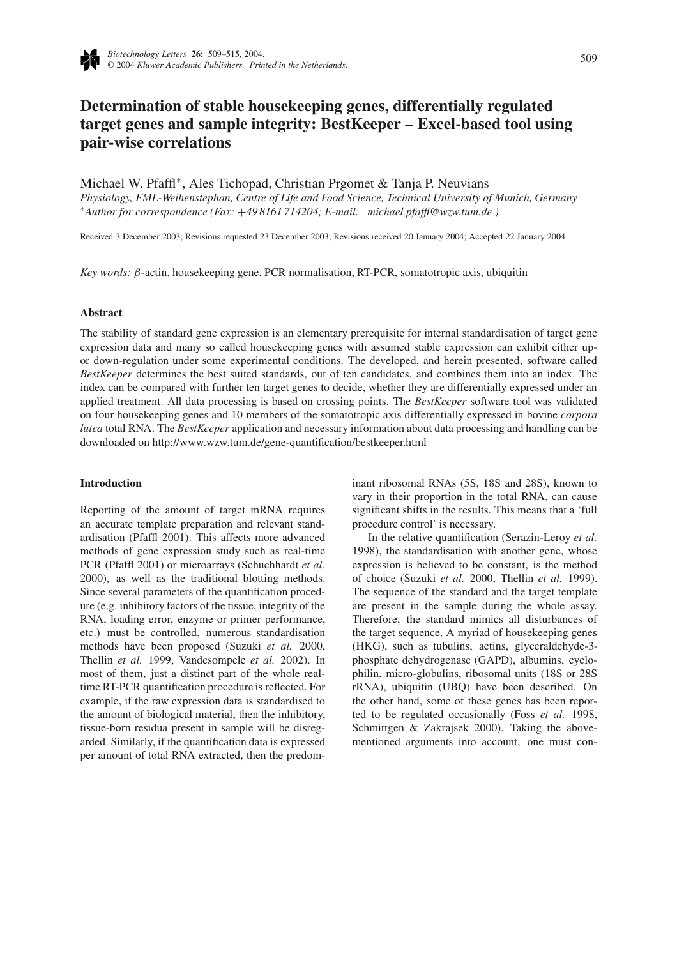

# **Determination of stable housekeeping genes, differentially regulated target genes and sample integrity: BestKeeper – Excel-based tool using pair-wise correlations**

Michael W. Pfaffl∗, Ales Tichopad, Christian Prgomet & Tanja P. Neuvians *Physiology, FML-Weihenstephan, Centre of Life and Food Science, Technical University of Munich, Germany* <sup>∗</sup>*Author for correspondence (Fax:* +*49 8161 714204; E-mail: michael.pfaffl@wzw.tum.de )*

Received 3 December 2003; Revisions requested 23 December 2003; Revisions received 20 January 2004; Accepted 22 January 2004

*Key words: β*-actin, housekeeping gene, PCR normalisation, RT-PCR, somatotropic axis, ubiquitin

## **Abstract**

The stability of standard gene expression is an elementary prerequisite for internal standardisation of target gene expression data and many so called housekeeping genes with assumed stable expression can exhibit either upor down-regulation under some experimental conditions. The developed, and herein presented, software called *BestKeeper* determines the best suited standards, out of ten candidates, and combines them into an index. The index can be compared with further ten target genes to decide, whether they are differentially expressed under an applied treatment. All data processing is based on crossing points. The *BestKeeper* software tool was validated on four housekeeping genes and 10 members of the somatotropic axis differentially expressed in bovine *corpora lutea* total RNA. The *BestKeeper* application and necessary information about data processing and handling can be downloaded on http://www.wzw.tum.de/gene-quantification/bestkeeper.html

#### **Introduction**

Reporting of the amount of target mRNA requires an accurate template preparation and relevant standardisation (Pfaffl 2001). This affects more advanced methods of gene expression study such as real-time PCR (Pfaffl 2001) or microarrays (Schuchhardt *et al.* 2000), as well as the traditional blotting methods. Since several parameters of the quantification procedure (e.g. inhibitory factors of the tissue, integrity of the RNA, loading error, enzyme or primer performance, etc.) must be controlled, numerous standardisation methods have been proposed (Suzuki *et al.* 2000, Thellin *et al.* 1999, Vandesompele *et al.* 2002). In most of them, just a distinct part of the whole realtime RT-PCR quantification procedure is reflected. For example, if the raw expression data is standardised to the amount of biological material, then the inhibitory, tissue-born residua present in sample will be disregarded. Similarly, if the quantification data is expressed per amount of total RNA extracted, then the predominant ribosomal RNAs (5S, 18S and 28S), known to vary in their proportion in the total RNA, can cause significant shifts in the results. This means that a 'full procedure control' is necessary.

In the relative quantification (Serazin-Leroy *et al.* 1998), the standardisation with another gene, whose expression is believed to be constant, is the method of choice (Suzuki *et al.* 2000, Thellin *et al.* 1999). The sequence of the standard and the target template are present in the sample during the whole assay. Therefore, the standard mimics all disturbances of the target sequence. A myriad of housekeeping genes (HKG), such as tubulins, actins, glyceraldehyde-3 phosphate dehydrogenase (GAPD), albumins, cyclophilin, micro-globulins, ribosomal units (18S or 28S rRNA), ubiquitin (UBQ) have been described. On the other hand, some of these genes has been reported to be regulated occasionally (Foss *et al.* 1998, Schmittgen & Zakrajsek 2000). Taking the abovementioned arguments into account, one must con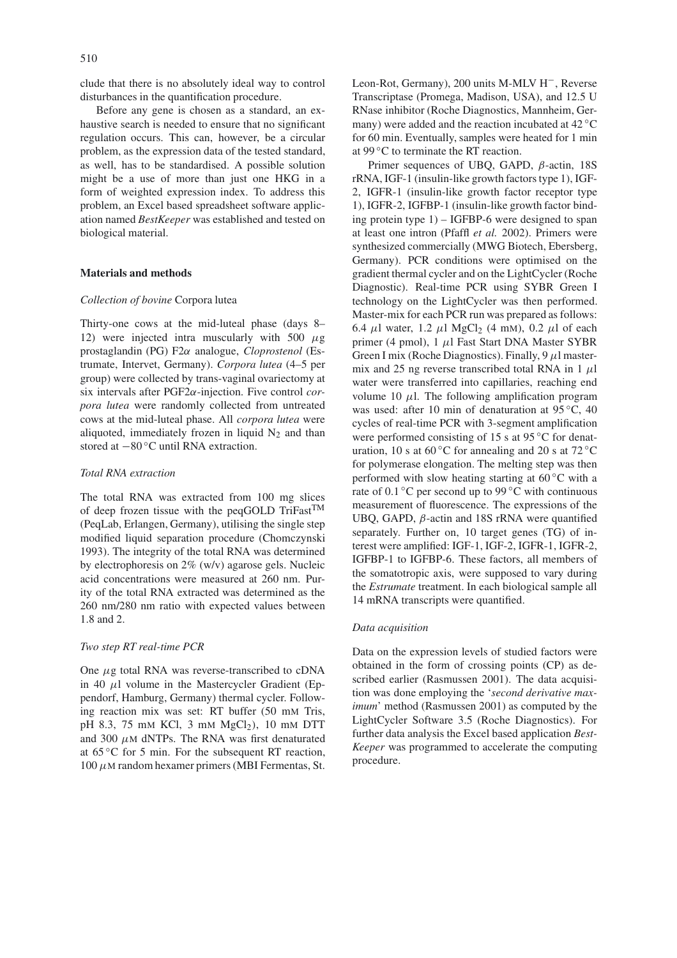clude that there is no absolutely ideal way to control disturbances in the quantification procedure.

Before any gene is chosen as a standard, an exhaustive search is needed to ensure that no significant regulation occurs. This can, however, be a circular problem, as the expression data of the tested standard, as well, has to be standardised. A possible solution might be a use of more than just one HKG in a form of weighted expression index. To address this problem, an Excel based spreadsheet software application named *BestKeeper* was established and tested on biological material.

#### **Materials and methods**

#### *Collection of bovine* Corpora lutea

Thirty-one cows at the mid-luteal phase (days 8– 12) were injected intra muscularly with 500 *µ*g prostaglandin (PG) F2*α* analogue, *Cloprostenol* (Estrumate, Intervet, Germany). *Corpora lutea* (4–5 per group) were collected by trans-vaginal ovariectomy at six intervals after PGF2*α*-injection. Five control *corpora lutea* were randomly collected from untreated cows at the mid-luteal phase. All *corpora lutea* were aliquoted, immediately frozen in liquid  $N_2$  and than stored at −80 ◦C until RNA extraction.

# *Total RNA extraction*

The total RNA was extracted from 100 mg slices of deep frozen tissue with the peqGOLD TriFast<sup>TM</sup> (PeqLab, Erlangen, Germany), utilising the single step modified liquid separation procedure (Chomczynski 1993). The integrity of the total RNA was determined by electrophoresis on 2% (w/v) agarose gels. Nucleic acid concentrations were measured at 260 nm. Purity of the total RNA extracted was determined as the 260 nm/280 nm ratio with expected values between 1.8 and 2.

#### *Two step RT real-time PCR*

One *µ*g total RNA was reverse-transcribed to cDNA in 40  $\mu$ l volume in the Mastercycler Gradient (Eppendorf, Hamburg, Germany) thermal cycler. Following reaction mix was set: RT buffer (50 mM Tris, pH 8.3, 75 mM KCl, 3 mM MgCl2*)*, 10 mM DTT and 300  $\mu$ M dNTPs. The RNA was first denaturated at 65 ◦C for 5 min. For the subsequent RT reaction, 100 *µ*M random hexamer primers (MBI Fermentas, St.

Leon-Rot, Germany), 200 units M-MLV H−, Reverse Transcriptase (Promega, Madison, USA), and 12.5 U RNase inhibitor (Roche Diagnostics, Mannheim, Germany) were added and the reaction incubated at 42 ◦C for 60 min. Eventually, samples were heated for 1 min at 99 ◦C to terminate the RT reaction.

Primer sequences of UBQ, GAPD, *β*-actin, 18S rRNA, IGF-1 (insulin-like growth factors type 1), IGF-2, IGFR-1 (insulin-like growth factor receptor type 1), IGFR-2, IGFBP-1 (insulin-like growth factor binding protein type 1) – IGFBP-6 were designed to span at least one intron (Pfaffl *et al.* 2002). Primers were synthesized commercially (MWG Biotech, Ebersberg, Germany). PCR conditions were optimised on the gradient thermal cycler and on the LightCycler (Roche Diagnostic). Real-time PCR using SYBR Green I technology on the LightCycler was then performed. Master-mix for each PCR run was prepared as follows: 6.4  $\mu$ l water, 1.2  $\mu$ l MgCl<sub>2</sub> (4 mM), 0.2  $\mu$ l of each primer (4 pmol), 1 *µ*l Fast Start DNA Master SYBR Green I mix (Roche Diagnostics). Finally, 9 *µ*l mastermix and 25 ng reverse transcribed total RNA in  $1 \mu$ l water were transferred into capillaries, reaching end volume 10  $\mu$ l. The following amplification program was used: after 10 min of denaturation at 95 °C, 40 cycles of real-time PCR with 3-segment amplification were performed consisting of 15 s at 95 °C for denaturation, 10 s at 60 °C for annealing and 20 s at 72 °C for polymerase elongation. The melting step was then performed with slow heating starting at 60 ◦C with a rate of 0.1  $\degree$ C per second up to 99  $\degree$ C with continuous measurement of fluorescence. The expressions of the UBQ, GAPD, *β*-actin and 18S rRNA were quantified separately. Further on, 10 target genes (TG) of interest were amplified: IGF-1, IGF-2, IGFR-1, IGFR-2, IGFBP-1 to IGFBP-6. These factors, all members of the somatotropic axis, were supposed to vary during the *Estrumate* treatment. In each biological sample all 14 mRNA transcripts were quantified.

## *Data acquisition*

Data on the expression levels of studied factors were obtained in the form of crossing points (CP) as described earlier (Rasmussen 2001). The data acquisition was done employing the '*second derivative maximum*' method (Rasmussen 2001) as computed by the LightCycler Software 3.5 (Roche Diagnostics). For further data analysis the Excel based application *Best-Keeper* was programmed to accelerate the computing procedure.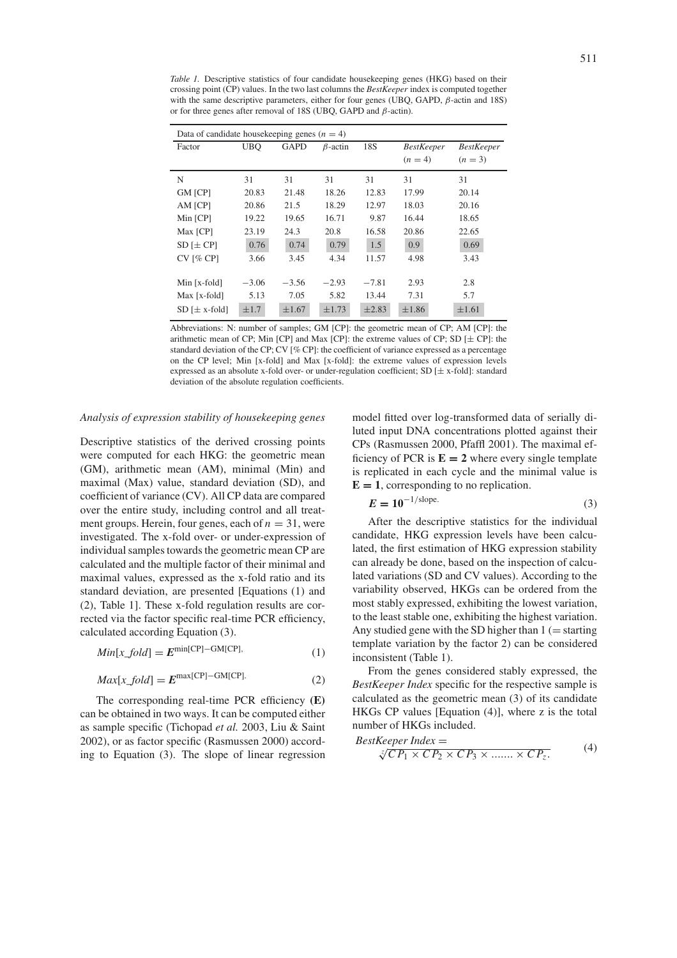*Table 1.* Descriptive statistics of four candidate housekeeping genes (HKG) based on their crossing point (CP) values. In the two last columns the *BestKeeper* index is computed together with the same descriptive parameters, either for four genes (UBQ, GAPD, *β*-actin and 18S) or for three genes after removal of 18S (UBQ, GAPD and *β*-actin).

| Data of candidate housekeeping genes $(n = 4)$ |                                             |            |            |            |                   |                   |  |  |  |
|------------------------------------------------|---------------------------------------------|------------|------------|------------|-------------------|-------------------|--|--|--|
| Factor                                         | <b>UBQ</b><br><b>GAPD</b><br>$\beta$ -actin |            |            | 18S        | <b>BestKeeper</b> | <b>BestKeeper</b> |  |  |  |
|                                                |                                             |            |            |            | $(n = 4)$         | $(n = 3)$         |  |  |  |
| N                                              | 31                                          | 31         | 31         | 31         | 31                | 31                |  |  |  |
| <b>GM</b> [CP]                                 | 20.83                                       | 21.48      | 18.26      | 12.83      | 17.99             | 20.14             |  |  |  |
| AM [CP]                                        | 20.86                                       | 21.5       | 18.29      | 12.97      | 18.03             | 20.16             |  |  |  |
| Min [CP]                                       | 19.22                                       | 19.65      | 16.71      | 9.87       | 16.44             | 18.65             |  |  |  |
| Max [CP]                                       | 23.19                                       | 24.3       | 20.8       | 16.58      | 20.86             | 22.65             |  |  |  |
| $SD$ [ $\pm CP$ ]                              | 0.76                                        | 0.74       | 0.79       | 1.5        | 0.9               | 0.69              |  |  |  |
| $CV$ [% $CP$ ]                                 | 3.66                                        | 3.45       | 4.34       | 11.57      | 4.98              | 3.43              |  |  |  |
|                                                |                                             |            |            |            |                   |                   |  |  |  |
| Min $[x$ -fold]                                | $-3.06$                                     | $-3.56$    | $-2.93$    | $-7.81$    | 2.93              | 2.8               |  |  |  |
| $Max$ [x-fold]                                 | 5.13                                        | 7.05       | 5.82       | 13.44      | 7.31              | 5.7               |  |  |  |
| $SD$ [ $\pm$ x-fold]                           | $\pm 1.7$                                   | $\pm 1.67$ | $\pm 1.73$ | $\pm 2.83$ | $\pm 1.86$        | $\pm 1.61$        |  |  |  |

Abbreviations: N: number of samples; GM [CP]: the geometric mean of CP; AM [CP]: the arithmetic mean of CP; Min [CP] and Max [CP]: the extreme values of CP; SD  $[\pm C$ P]: the standard deviation of the CP; CV  $[\%$  CP]: the coefficient of variance expressed as a percentage on the CP level; Min [x-fold] and Max [x-fold]: the extreme values of expression levels expressed as an absolute x-fold over- or under-regulation coefficient; SD [± x-fold]: standard deviation of the absolute regulation coefficients.

# *Analysis of expression stability of housekeeping genes*

Descriptive statistics of the derived crossing points were computed for each HKG: the geometric mean (GM), arithmetic mean (AM), minimal (Min) and maximal (Max) value, standard deviation (SD), and coefficient of variance (CV). All CP data are compared over the entire study, including control and all treatment groups. Herein, four genes, each of  $n = 31$ , were investigated. The x-fold over- or under-expression of individual samples towards the geometric mean CP are calculated and the multiple factor of their minimal and maximal values, expressed as the x-fold ratio and its standard deviation, are presented [Equations (1) and (2), Table 1]. These x-fold regulation results are corrected via the factor specific real-time PCR efficiency, calculated according Equation (3).

$$
Min[x\_fold] = E^{\min[CP] - \text{GM[CP]}},\tag{1}
$$

$$
Max[x\_fold] = E^{\max[CP] - GM[CP]}.
$$
 (2)

The corresponding real-time PCR efficiency **(E)** can be obtained in two ways. It can be computed either as sample specific (Tichopad *et al.* 2003, Liu & Saint 2002), or as factor specific (Rasmussen 2000) according to Equation (3). The slope of linear regression model fitted over log-transformed data of serially diluted input DNA concentrations plotted against their CPs (Rasmussen 2000, Pfaffl 2001). The maximal efficiency of PCR is  $E = 2$  where every single template is replicated in each cycle and the minimal value is  $E = 1$ , corresponding to no replication.

$$
E = 10^{-1/\text{slope}}.\tag{3}
$$

After the descriptive statistics for the individual candidate, HKG expression levels have been calculated, the first estimation of HKG expression stability can already be done, based on the inspection of calculated variations (SD and CV values). According to the variability observed, HKGs can be ordered from the most stably expressed, exhibiting the lowest variation, to the least stable one, exhibiting the highest variation. Any studied gene with the SD higher than  $1$  (= starting template variation by the factor 2) can be considered inconsistent (Table 1).

From the genes considered stably expressed, the *BestKeeper Index* specific for the respective sample is calculated as the geometric mean (3) of its candidate HKGs CP values [Equation (4)], where z is the total number of HKGs included.

$$
BestKeeper Index =
$$
  
\n
$$
\sqrt[3]{CP_1 \times CP_2 \times CP_3 \times \dots \times CP_z}.
$$
\n(4)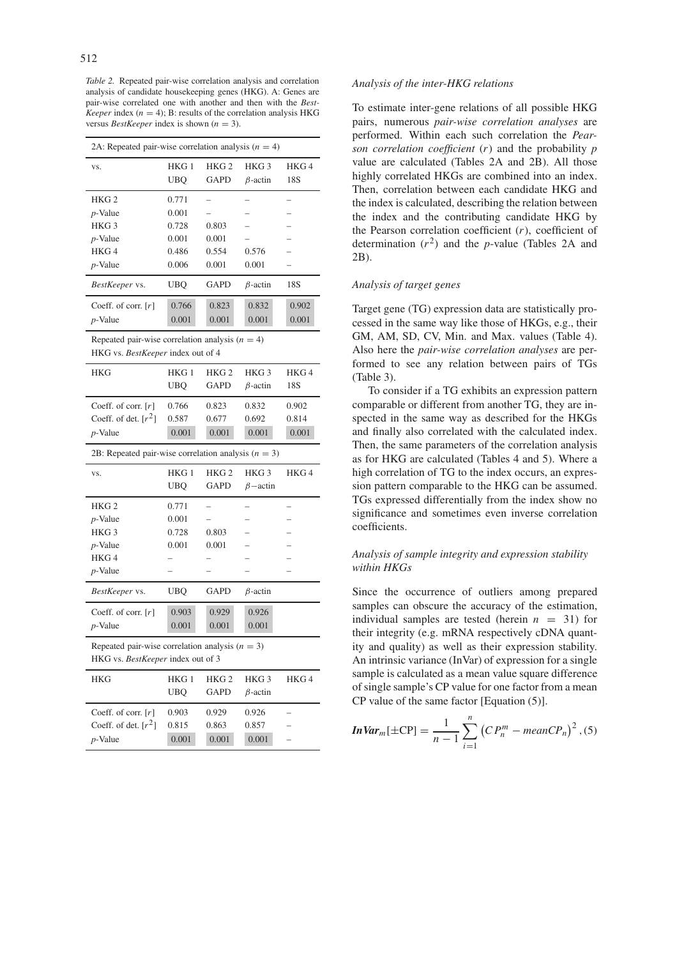*Table 2.* Repeated pair-wise correlation analysis and correlation analysis of candidate housekeeping genes (HKG). A: Genes are pair-wise correlated one with another and then with the *Best-Keeper* index ( $n = 4$ ); B: results of the correlation analysis HKG versus *BestKeeper* index is shown ( $n = 3$ ).

| 2A: Repeated pair-wise correlation analysis $(n = 4)$                                  |                         |                                 |                                     |                  |  |  |  |  |
|----------------------------------------------------------------------------------------|-------------------------|---------------------------------|-------------------------------------|------------------|--|--|--|--|
| VS.                                                                                    | HKG 1<br>UBO            | HKG <sub>2</sub><br><b>GAPD</b> | HKG <sub>3</sub><br>$\beta$ -actin  | HKG4<br>18S      |  |  |  |  |
| HKG <sub>2</sub>                                                                       | 0.771                   |                                 |                                     |                  |  |  |  |  |
| $p$ -Value                                                                             | 0.001                   |                                 |                                     |                  |  |  |  |  |
| HKG <sub>3</sub>                                                                       | 0.728                   | 0.803                           |                                     |                  |  |  |  |  |
| $p$ -Value                                                                             | 0.001                   | 0.001                           |                                     |                  |  |  |  |  |
| HKG4                                                                                   | 0.486                   | 0.554                           | 0.576                               |                  |  |  |  |  |
| $p$ -Value                                                                             | 0.006                   | 0.001                           | 0.001                               |                  |  |  |  |  |
| BestKeeper vs.                                                                         | <b>UBQ</b>              | <b>GAPD</b>                     | $\beta$ -actin                      | 18S              |  |  |  |  |
| Coeff. of corr. $[r]$                                                                  | 0.766                   | 0.823                           | 0.832                               | 0.902            |  |  |  |  |
| <i>p</i> -Value                                                                        | 0.001                   | 0.001                           | 0.001                               | 0.001            |  |  |  |  |
| Repeated pair-wise correlation analysis $(n = 4)$<br>HKG vs. BestKeeper index out of 4 |                         |                                 |                                     |                  |  |  |  |  |
| <b>HKG</b>                                                                             | HKG <sub>1</sub>        | HKG <sub>2</sub>                | HKG <sub>3</sub>                    | HKG <sub>4</sub> |  |  |  |  |
|                                                                                        | UBQ                     | GAPD                            | $\beta$ -actin                      | 18S              |  |  |  |  |
| Coeff. of corr. $[r]$                                                                  | 0.766                   | 0.823                           | 0.832                               | 0.902            |  |  |  |  |
| Coeff. of det. $[r^2]$                                                                 | 0.587                   | 0.677                           | 0.692                               | 0.814            |  |  |  |  |
| $p$ -Value                                                                             | 0.001                   | 0.001                           | 0.001                               | 0.001            |  |  |  |  |
| 2B: Repeated pair-wise correlation analysis ( $n = 3$ )                                |                         |                                 |                                     |                  |  |  |  |  |
|                                                                                        |                         |                                 |                                     |                  |  |  |  |  |
| VS.                                                                                    | HKG <sub>1</sub><br>UBO | HKG <sub>2</sub><br><b>GAPD</b> | HKG <sub>3</sub><br>$\beta$ – actin | HKG4             |  |  |  |  |
| HKG <sub>2</sub>                                                                       | 0.771                   | $\overline{\phantom{0}}$        |                                     |                  |  |  |  |  |
| <i>p</i> -Value                                                                        | 0.001                   |                                 |                                     |                  |  |  |  |  |
| HKG <sub>3</sub>                                                                       | 0.728                   | 0.803                           |                                     |                  |  |  |  |  |
| $p$ -Value                                                                             | 0.001                   | 0.001                           |                                     |                  |  |  |  |  |
| HKG4                                                                                   |                         |                                 |                                     |                  |  |  |  |  |
| $p$ -Value                                                                             |                         |                                 |                                     |                  |  |  |  |  |
| BestKeeper vs.                                                                         | UBQ                     | GAPD                            | $\beta$ -actin                      |                  |  |  |  |  |
| Coeff. of corr. $[r]$                                                                  | 0.903                   | 0.929                           | 0.926                               |                  |  |  |  |  |
| $p$ -Value                                                                             | 0.001                   | 0.001                           | 0.001                               |                  |  |  |  |  |
| Repeated pair-wise correlation analysis $(n = 3)$<br>HKG vs. BestKeeper index out of 3 |                         |                                 |                                     |                  |  |  |  |  |
| HKG                                                                                    | HKG <sub>1</sub>        | HKG <sub>2</sub>                | HKG <sub>3</sub>                    | HKG4             |  |  |  |  |
|                                                                                        | UBQ                     | GAPD                            | $\beta$ -actin                      |                  |  |  |  |  |
| Coeff. of corr. $[r]$                                                                  | 0.903                   | 0.929                           | 0.926                               |                  |  |  |  |  |
| Coeff. of det. $[r^2]$                                                                 | 0.815                   | 0.863                           | 0.857                               |                  |  |  |  |  |

# *Analysis of the inter-HKG relations*

To estimate inter-gene relations of all possible HKG pairs, numerous *pair-wise correlation analyses* are performed. Within each such correlation the *Pearson correlation coefficient* (*r*) and the probability *p* value are calculated (Tables 2A and 2B). All those highly correlated HKGs are combined into an index. Then, correlation between each candidate HKG and the index is calculated, describing the relation between the index and the contributing candidate HKG by the Pearson correlation coefficient (*r*), coefficient of determination  $(r^2)$  and the *p*-value (Tables 2A and 2B).

# *Analysis of target genes*

Target gene (TG) expression data are statistically processed in the same way like those of HKGs, e.g., their GM, AM, SD, CV, Min. and Max. values (Table 4). Also here the *pair-wise correlation analyses* are performed to see any relation between pairs of TGs (Table 3).

To consider if a TG exhibits an expression pattern comparable or different from another TG, they are inspected in the same way as described for the HKGs and finally also correlated with the calculated index. Then, the same parameters of the correlation analysis as for HKG are calculated (Tables 4 and 5). Where a high correlation of TG to the index occurs, an expression pattern comparable to the HKG can be assumed. TGs expressed differentially from the index show no significance and sometimes even inverse correlation coefficients.

# *Analysis of sample integrity and expression stability within HKGs*

Since the occurrence of outliers among prepared samples can obscure the accuracy of the estimation, individual samples are tested (herein  $n = 31$ ) for their integrity (e.g. mRNA respectively cDNA quantity and quality) as well as their expression stability. An intrinsic variance (InVar) of expression for a single sample is calculated as a mean value square difference of single sample's CP value for one factor from a mean CP value of the same factor [Equation (5)].

*Inv*
$$
ar_m[\pm CP] = \frac{1}{n-1} \sum_{i=1}^{n} (CP_n^m - meanCP_n)^2
$$
, (5)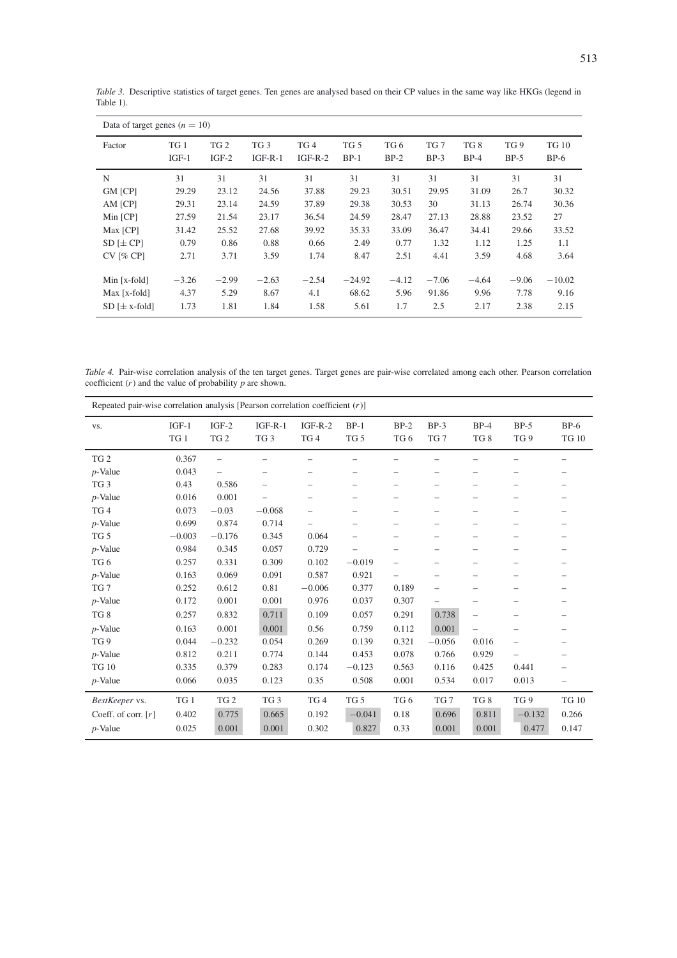| Data of target genes $(n = 10)$ |                 |                            |                              |                              |                           |                |                           |               |                           |                        |
|---------------------------------|-----------------|----------------------------|------------------------------|------------------------------|---------------------------|----------------|---------------------------|---------------|---------------------------|------------------------|
| Factor                          | TG 1<br>$IGF-1$ | TG <sub>2</sub><br>$IGF-2$ | TG <sub>3</sub><br>$IGF-R-1$ | TG <sub>4</sub><br>$IGF-R-2$ | TG <sub>5</sub><br>$BP-1$ | TG 6<br>$BP-2$ | TG <sub>7</sub><br>$BP-3$ | TG8<br>$BP-4$ | TG <sub>9</sub><br>$BP-5$ | <b>TG 10</b><br>$BP-6$ |
| N                               | 31              | 31                         | 31                           | 31                           | 31                        | 31             | 31                        | 31            | 31                        | 31                     |
| GM [CP]                         | 29.29           | 23.12                      | 24.56                        | 37.88                        | 29.23                     | 30.51          | 29.95                     | 31.09         | 26.7                      | 30.32                  |
| AM [CP]                         | 29.31           | 23.14                      | 24.59                        | 37.89                        | 29.38                     | 30.53          | 30                        | 31.13         | 26.74                     | 30.36                  |
| Min [CP]                        | 27.59           | 21.54                      | 23.17                        | 36.54                        | 24.59                     | 28.47          | 27.13                     | 28.88         | 23.52                     | 27                     |
| Max [CP]                        | 31.42           | 25.52                      | 27.68                        | 39.92                        | 35.33                     | 33.09          | 36.47                     | 34.41         | 29.66                     | 33.52                  |
| $SD$ [ $\pm CP$ ]               | 0.79            | 0.86                       | 0.88                         | 0.66                         | 2.49                      | 0.77           | 1.32                      | 1.12          | 1.25                      | 1.1                    |
| $CV$ [% CP]                     | 2.71            | 3.71                       | 3.59                         | 1.74                         | 8.47                      | 2.51           | 4.41                      | 3.59          | 4.68                      | 3.64                   |
| Min [x-fold]                    | $-3.26$         | $-2.99$                    | $-2.63$                      | $-2.54$                      | $-24.92$                  | $-4.12$        | $-7.06$                   | $-4.64$       | $-9.06$                   | $-10.02$               |
| Max [x-fold]                    | 4.37            | 5.29                       | 8.67                         | 4.1                          | 68.62                     | 5.96           | 91.86                     | 9.96          | 7.78                      | 9.16                   |
| $SD$ [ $\pm$ x-fold]            | 1.73            | 1.81                       | 1.84                         | 1.58                         | 5.61                      | 1.7            | 2.5                       | 2.17          | 2.38                      | 2.15                   |

*Table 3.* Descriptive statistics of target genes. Ten genes are analysed based on their CP values in the same way like HKGs (legend in Table 1).

*Table 4.* Pair-wise correlation analysis of the ten target genes. Target genes are pair-wise correlated among each other. Pearson correlation coefficient  $(r)$  and the value of probability  $p$  are shown.

| Repeated pair-wise correlation analysis [Pearson correlation coefficient $(r)$ ] |          |                 |                          |                          |                          |                          |                          |                          |                          |                          |
|----------------------------------------------------------------------------------|----------|-----------------|--------------------------|--------------------------|--------------------------|--------------------------|--------------------------|--------------------------|--------------------------|--------------------------|
| VS.                                                                              | $IGF-1$  | $IGF-2$         | $IGF-R-1$                | $IGF-R-2$                | $BP-1$                   | $BP-2$                   | $BP-3$                   | $BP-4$                   | $BP-5$                   | $BP-6$                   |
|                                                                                  | TG1      | TG <sub>2</sub> | TG <sub>3</sub>          | TG4                      | TG <sub>5</sub>          | TG <sub>6</sub>          | TG <sub>7</sub>          | TG8                      | TG <sub>9</sub>          | <b>TG 10</b>             |
| TG <sub>2</sub>                                                                  | 0.367    |                 | $\overline{\phantom{0}}$ | -                        |                          |                          |                          | $\overline{\phantom{a}}$ |                          | $\overline{\phantom{a}}$ |
| $p$ -Value                                                                       | 0.043    |                 | $\qquad \qquad$          | -                        |                          |                          |                          | $\overline{\phantom{0}}$ | $\overline{\phantom{0}}$ |                          |
| TG <sub>3</sub>                                                                  | 0.43     | 0.586           | $\overline{\phantom{0}}$ | -                        |                          |                          |                          |                          | $\overline{\phantom{0}}$ |                          |
| $p$ -Value                                                                       | 0.016    | 0.001           | $\overline{\phantom{0}}$ | $\overline{\phantom{0}}$ |                          |                          |                          | $\overline{\phantom{a}}$ |                          |                          |
| TG4                                                                              | 0.073    | $-0.03$         | $-0.068$                 | -                        | $\overline{\phantom{0}}$ | $\overline{\phantom{0}}$ | $\overline{\phantom{0}}$ | $\overline{\phantom{0}}$ | $\overline{\phantom{0}}$ |                          |
| $p$ -Value                                                                       | 0.699    | 0.874           | 0.714                    | -                        |                          | $\overline{\phantom{0}}$ |                          | $\overline{\phantom{0}}$ |                          |                          |
| TG <sub>5</sub>                                                                  | $-0.003$ | $-0.176$        | 0.345                    | 0.064                    |                          |                          |                          |                          | $\overline{\phantom{0}}$ |                          |
| $p$ -Value                                                                       | 0.984    | 0.345           | 0.057                    | 0.729                    |                          |                          |                          | $\overline{\phantom{0}}$ | $\overline{\phantom{0}}$ |                          |
| TG <sub>6</sub>                                                                  | 0.257    | 0.331           | 0.309                    | 0.102                    | $-0.019$                 |                          |                          |                          |                          |                          |
| $p$ -Value                                                                       | 0.163    | 0.069           | 0.091                    | 0.587                    | 0.921                    | $\overline{\phantom{0}}$ |                          | $\overline{\phantom{a}}$ | $\overline{\phantom{0}}$ |                          |
| TG <sub>7</sub>                                                                  | 0.252    | 0.612           | 0.81                     | $-0.006$                 | 0.377                    | 0.189                    | $\qquad \qquad -$        |                          |                          |                          |
| $p$ -Value                                                                       | 0.172    | 0.001           | 0.001                    | 0.976                    | 0.037                    | 0.307                    | $\qquad \qquad -$        | $\qquad \qquad -$        | $\overline{\phantom{m}}$ |                          |
| TG8                                                                              | 0.257    | 0.832           | 0.711                    | 0.109                    | 0.057                    | 0.291                    | 0.738                    | $\overline{\phantom{0}}$ | $\overline{\phantom{0}}$ |                          |
| $p$ -Value                                                                       | 0.163    | 0.001           | 0.001                    | 0.56                     | 0.759                    | 0.112                    | 0.001                    | $\overline{\phantom{0}}$ | $\qquad \qquad -$        |                          |
| TG <sub>9</sub>                                                                  | 0.044    | $-0.232$        | 0.054                    | 0.269                    | 0.139                    | 0.321                    | $-0.056$                 | 0.016                    | $\overline{\phantom{0}}$ |                          |
| $p$ -Value                                                                       | 0.812    | 0.211           | 0.774                    | 0.144                    | 0.453                    | 0.078                    | 0.766                    | 0.929                    | $\overline{\phantom{0}}$ |                          |
| <b>TG 10</b>                                                                     | 0.335    | 0.379           | 0.283                    | 0.174                    | $-0.123$                 | 0.563                    | 0.116                    | 0.425                    | 0.441                    |                          |
| $p$ -Value                                                                       | 0.066    | 0.035           | 0.123                    | 0.35                     | 0.508                    | 0.001                    | 0.534                    | 0.017                    | 0.013                    | -                        |
| BestKeeper vs.                                                                   | TG1      | TG <sub>2</sub> | TG <sub>3</sub>          | TG <sub>4</sub>          | TG <sub>5</sub>          | TG <sub>6</sub>          | TG <sub>7</sub>          | TG8                      | TG <sub>9</sub>          | <b>TG 10</b>             |
| Coeff. of corr. $[r]$                                                            | 0.402    | 0.775           | 0.665                    | 0.192                    | $-0.041$                 | 0.18                     | 0.696                    | 0.811                    | $-0.132$                 | 0.266                    |
| $p$ -Value                                                                       | 0.025    | 0.001           | 0.001                    | 0.302                    | 0.827                    | 0.33                     | 0.001                    | 0.001                    | 0.477                    | 0.147                    |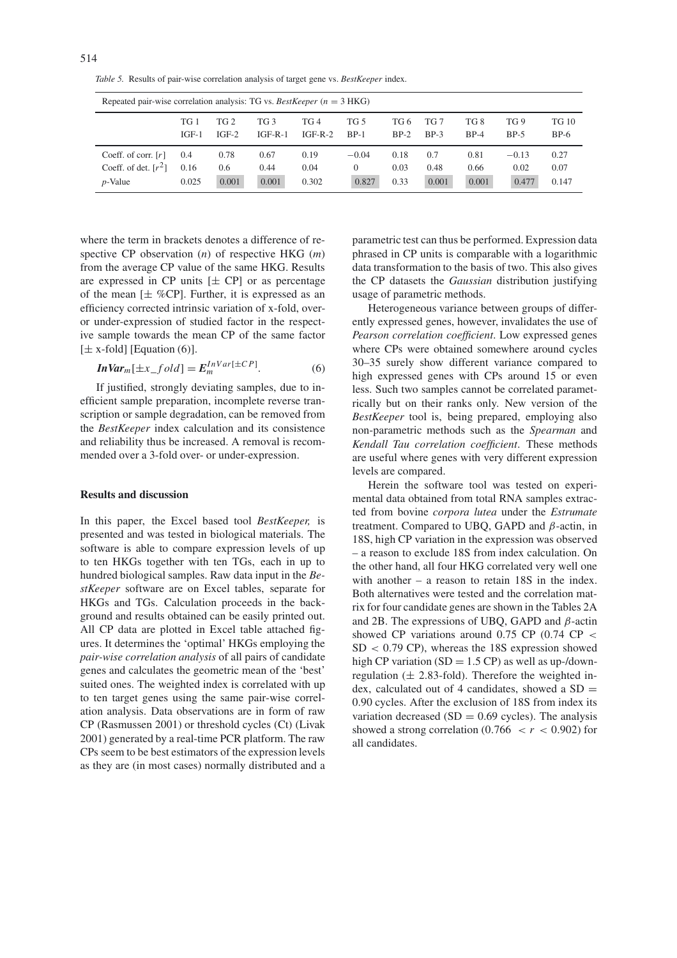*Table 5.* Results of pair-wise correlation analysis of target gene vs. *BestKeeper* index.

| Repeated pair-wise correlation analysis: TG vs. BestKeeper $(n = 3$ HKG) |         |                 |                 |           |                 |        |                 |        |            |              |
|--------------------------------------------------------------------------|---------|-----------------|-----------------|-----------|-----------------|--------|-----------------|--------|------------|--------------|
|                                                                          | TG 1    | TG <sub>2</sub> | TG <sub>3</sub> | TG 4      | TG <sub>5</sub> | TG 6   | TG <sub>7</sub> | TG 8   | <b>TG9</b> | <b>TG 10</b> |
|                                                                          | $IGF-1$ | $IGF-2$         | $IGF-R-1$       | $IGF-R-2$ | $BP-1$          | $BP-2$ | $BP-3$          | $BP-4$ | $BP-5$     | $BP-6$       |
| Coeff. of corr. $[r]$                                                    | 0.4     | 0.78            | 0.67            | 0.19      | $-0.04$         | 0.18   | 0.7             | 0.81   | $-0.13$    | 0.27         |
| Coeff. of det. $[r^2]$                                                   | 0.16    | 0.6             | 0.44            | 0.04      | $\Omega$        | 0.03   | 0.48            | 0.66   | 0.02       | 0.07         |
| $p$ -Value                                                               | 0.025   | 0.001           | 0.001           | 0.302     | 0.827           | 0.33   | 0.001           | 0.001  | 0.477      | 0.147        |

where the term in brackets denotes a difference of respective CP observation (*n*) of respective HKG (*m*) from the average CP value of the same HKG. Results are expressed in CP units  $[\pm C\]$  or as percentage of the mean  $[\pm \% CP]$ . Further, it is expressed as an efficiency corrected intrinsic variation of x-fold, overor under-expression of studied factor in the respective sample towards the mean CP of the same factor  $[\pm x$ -fold] [Equation (6)].

$$
InVarm[\pm x_{f}old] = EmInVar[\pm CP].
$$
 (6)

If justified, strongly deviating samples, due to inefficient sample preparation, incomplete reverse transcription or sample degradation, can be removed from the *BestKeeper* index calculation and its consistence and reliability thus be increased. A removal is recommended over a 3-fold over- or under-expression.

#### **Results and discussion**

In this paper, the Excel based tool *BestKeeper,* is presented and was tested in biological materials. The software is able to compare expression levels of up to ten HKGs together with ten TGs, each in up to hundred biological samples. Raw data input in the *BestKeeper* software are on Excel tables, separate for HKGs and TGs. Calculation proceeds in the background and results obtained can be easily printed out. All CP data are plotted in Excel table attached figures. It determines the 'optimal' HKGs employing the *pair-wise correlation analysis* of all pairs of candidate genes and calculates the geometric mean of the 'best' suited ones. The weighted index is correlated with up to ten target genes using the same pair-wise correlation analysis. Data observations are in form of raw CP (Rasmussen 2001) or threshold cycles (Ct) (Livak 2001) generated by a real-time PCR platform. The raw CPs seem to be best estimators of the expression levels as they are (in most cases) normally distributed and a

parametric test can thus be performed. Expression data phrased in CP units is comparable with a logarithmic data transformation to the basis of two. This also gives the CP datasets the *Gaussian* distribution justifying usage of parametric methods.

Heterogeneous variance between groups of differently expressed genes, however, invalidates the use of *Pearson correlation coefficient*. Low expressed genes where CPs were obtained somewhere around cycles 30–35 surely show different variance compared to high expressed genes with CPs around 15 or even less. Such two samples cannot be correlated parametrically but on their ranks only. New version of the *BestKeeper* tool is, being prepared, employing also non-parametric methods such as the *Spearman* and *Kendall Tau correlation coefficient*. These methods are useful where genes with very different expression levels are compared.

Herein the software tool was tested on experimental data obtained from total RNA samples extracted from bovine *corpora lutea* under the *Estrumate* treatment. Compared to UBQ, GAPD and *β*-actin, in 18S, high CP variation in the expression was observed – a reason to exclude 18S from index calculation. On the other hand, all four HKG correlated very well one with another – a reason to retain 18S in the index. Both alternatives were tested and the correlation matrix for four candidate genes are shown in the Tables 2A and 2B. The expressions of UBQ, GAPD and *β*-actin showed CP variations around 0.75 CP (0.74 CP *<* SD *<* 0.79 CP), whereas the 18S expression showed high CP variation (SD =  $1.5$  CP) as well as up-/downregulation  $(\pm 2.83$ -fold). Therefore the weighted index, calculated out of 4 candidates, showed a  $SD =$ 0.90 cycles. After the exclusion of 18S from index its variation decreased ( $SD = 0.69$  cycles). The analysis showed a strong correlation  $(0.766 < r < 0.902)$  for all candidates.